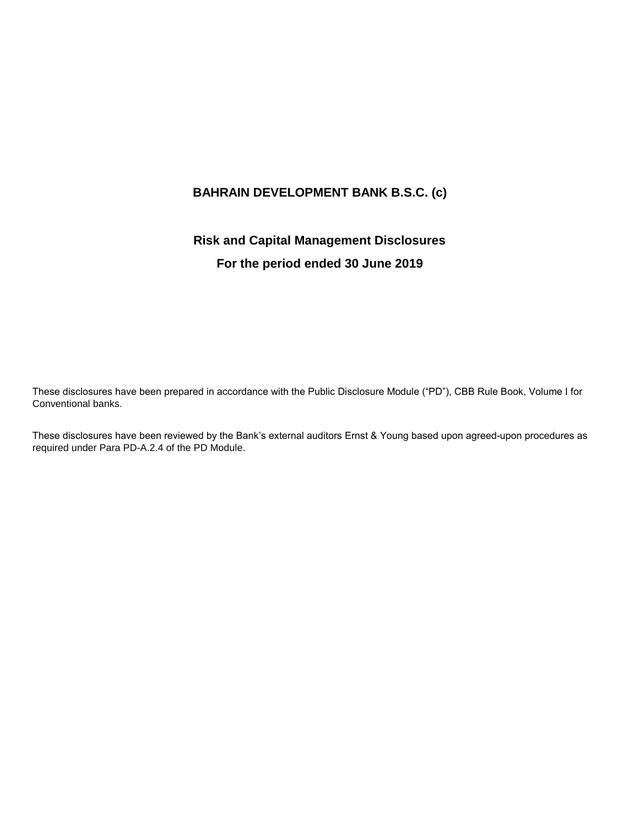# **BAHRAIN DEVELOPMENT BANK B.S.C. (c)**

# **Risk and Capital Management Disclosures For the period ended 30 June 2019**

These disclosures have been prepared in accordance with the Public Disclosure Module ("PD"), CBB Rule Book, Volume I for Conventional banks.

These disclosures have been reviewed by the Bank's external auditors Ernst & Young based upon agreed-upon procedures as required under Para PD-A.2.4 of the PD Module.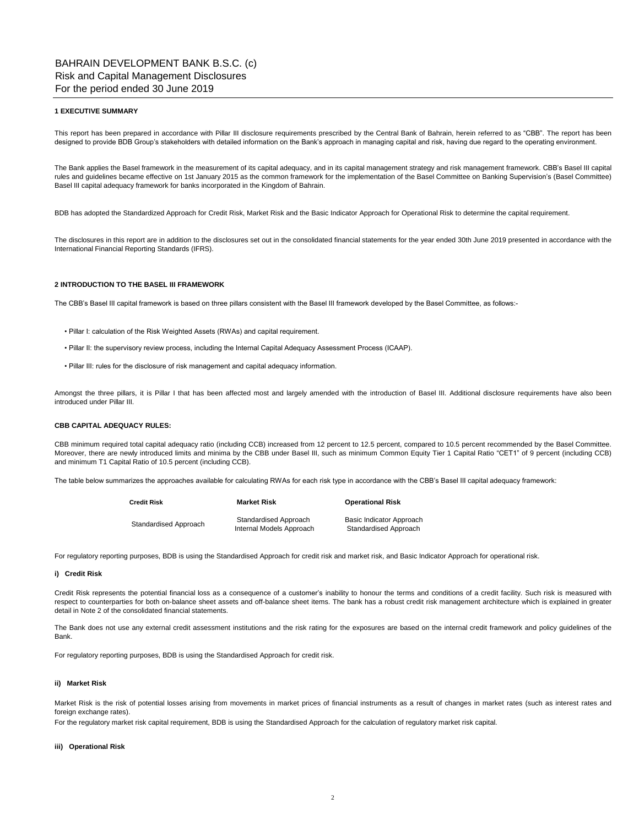#### **1 EXECUTIVE SUMMARY**

This report has been prepared in accordance with Pillar III disclosure requirements prescribed by the Central Bank of Bahrain, herein referred to as "CBB". The report has been designed to provide BDB Group's stakeholders with detailed information on the Bank's approach in managing capital and risk, having due regard to the operating environment.

The Bank applies the Basel framework in the measurement of its capital adequacy, and in its capital management strategy and risk management framework. CBB's Basel III capital rules and guidelines became effective on 1st January 2015 as the common framework for the implementation of the Basel Committee on Banking Supervision's (Basel Committee) Basel III capital adequacy framework for banks incorporated in the Kingdom of Bahrain.

BDB has adopted the Standardized Approach for Credit Risk, Market Risk and the Basic Indicator Approach for Operational Risk to determine the capital requirement.

The disclosures in this report are in addition to the disclosures set out in the consolidated financial statements for the year ended 30th June 2019 presented in accordance with the International Financial Reporting Standards (IFRS).

### **2 INTRODUCTION TO THE BASEL III FRAMEWORK**

The CBB's Basel III capital framework is based on three pillars consistent with the Basel III framework developed by the Basel Committee, as follows:-

- Pillar I: calculation of the Risk Weighted Assets (RWAs) and capital requirement.
- Pillar II: the supervisory review process, including the Internal Capital Adequacy Assessment Process (ICAAP).
- Pillar III: rules for the disclosure of risk management and capital adequacy information.

Amongst the three pillars, it is Pillar I that has been affected most and largely amended with the introduction of Basel III. Additional disclosure requirements have also been introduced under Pillar III.

# **CBB CAPITAL ADEQUACY RULES:**

CBB minimum required total capital adequacy ratio (including CCB) increased from 12 percent to 12.5 percent, compared to 10.5 percent recommended by the Basel Committee. Moreover, there are newly introduced limits and minima by the CBB under Basel III, such as minimum Common Equity Tier 1 Capital Ratio "CET1" of 9 percent (including CCB) and minimum T1 Capital Ratio of 10.5 percent (including CCB).

The table below summarizes the approaches available for calculating RWAs for each risk type in accordance with the CBB's Basel III capital adequacy framework:

| Credit Risk           | <b>Market Risk</b>                                | <b>Operational Risk</b>                           |  |  |
|-----------------------|---------------------------------------------------|---------------------------------------------------|--|--|
| Standardised Approach | Standardised Approach<br>Internal Models Approach | Basic Indicator Approach<br>Standardised Approach |  |  |

For regulatory reporting purposes, BDB is using the Standardised Approach for credit risk and market risk, and Basic Indicator Approach for operational risk.

#### **i) Credit Risk**

Credit Risk represents the potential financial loss as a consequence of a customer's inability to honour the terms and conditions of a credit facility. Such risk is measured with respect to counterparties for both on-balance sheet assets and off-balance sheet items. The bank has a robust credit risk management architecture which is explained in greater detail in Note 2 of the consolidated financial statements.

The Bank does not use any external credit assessment institutions and the risk rating for the exposures are based on the internal credit framework and policy guidelines of the Bank.

For regulatory reporting purposes, BDB is using the Standardised Approach for credit risk.

### **ii) Market Risk**

Market Risk is the risk of potential losses arising from movements in market prices of financial instruments as a result of changes in market rates (such as interest rates and foreign exchange rates).

For the regulatory market risk capital requirement, BDB is using the Standardised Approach for the calculation of regulatory market risk capital.

#### **iii) Operational Risk**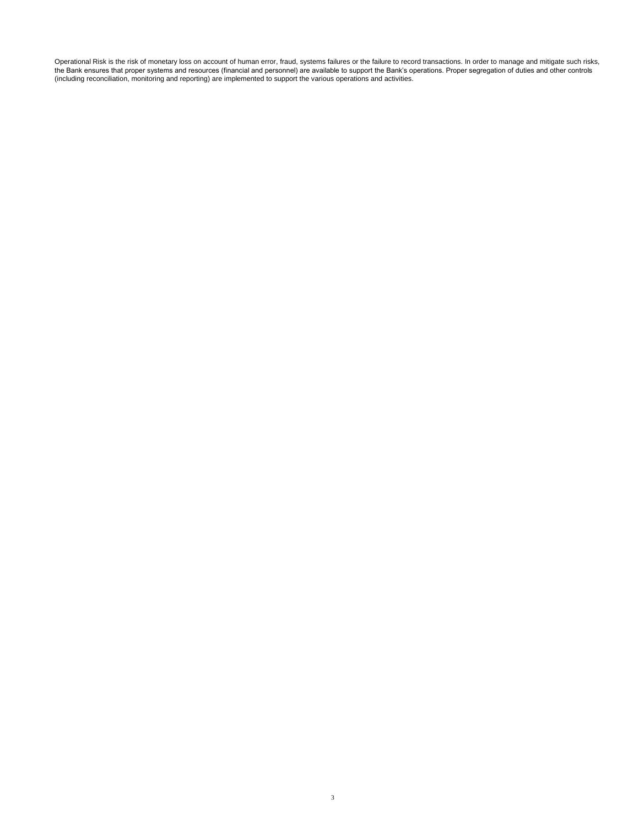Operational Risk is the risk of monetary loss on account of human error, fraud, systems failures or the failure to record transactions. In order to manage and mitigate such risks, the Bank ensures that proper systems and resources (financial and personnel) are available to support the Bank's operations. Proper segregation of duties and other controls (including reconciliation, monitoring and reporting) are implemented to support the various operations and activities.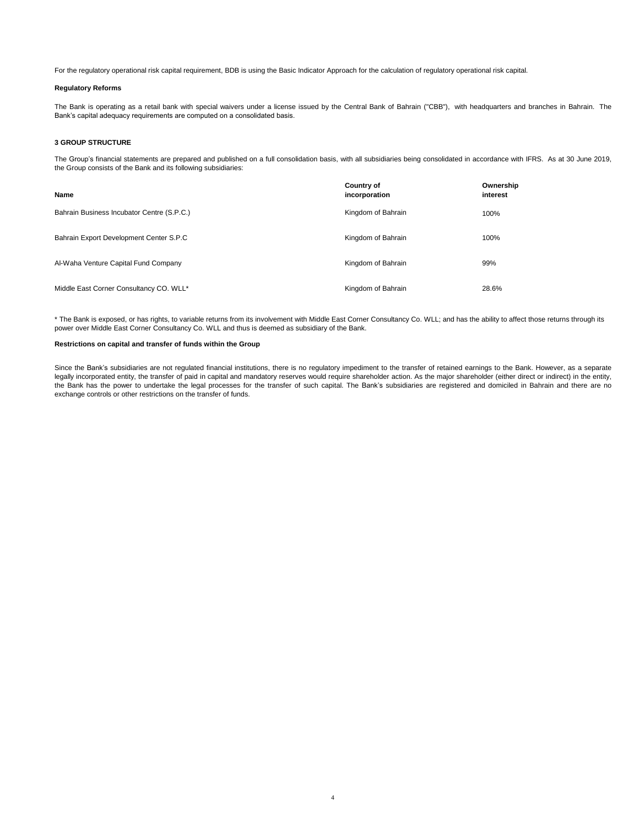For the regulatory operational risk capital requirement, BDB is using the Basic Indicator Approach for the calculation of regulatory operational risk capital.

## **Regulatory Reforms**

The Bank is operating as a retail bank with special waivers under a license issued by the Central Bank of Bahrain ("CBB"), with headquarters and branches in Bahrain. The Bank's capital adequacy requirements are computed on a consolidated basis.

## **3 GROUP STRUCTURE**

The Group's financial statements are prepared and published on a full consolidation basis, with all subsidiaries being consolidated in accordance with IFRS. As at 30 June 2019, the Group consists of the Bank and its following subsidiaries:

| Name                                       | <b>Country of</b><br>incorporation | Ownership<br>interest |
|--------------------------------------------|------------------------------------|-----------------------|
| Bahrain Business Incubator Centre (S.P.C.) | Kingdom of Bahrain                 | 100%                  |
| Bahrain Export Development Center S.P.C    | Kingdom of Bahrain                 | 100%                  |
| Al-Waha Venture Capital Fund Company       | Kingdom of Bahrain                 | 99%                   |
| Middle East Corner Consultancy CO. WLL*    | Kingdom of Bahrain                 | 28.6%                 |

\* The Bank is exposed, or has rights, to variable returns from its involvement with Middle East Corner Consultancy Co. WLL; and has the ability to affect those returns through its power over Middle East Corner Consultancy Co. WLL and thus is deemed as subsidiary of the Bank.

#### **Restrictions on capital and transfer of funds within the Group**

Since the Bank's subsidiaries are not regulated financial institutions, there is no regulatory impediment to the transfer of retained earnings to the Bank. However, as a separate legally incorporated entity, the transfer of paid in capital and mandatory reserves would require shareholder action. As the major shareholder (either direct or indirect) in the entity, the Bank has the power to undertake the legal processes for the transfer of such capital. The Bank's subsidiaries are registered and domiciled in Bahrain and there are no exchange controls or other restrictions on the transfer of funds.

4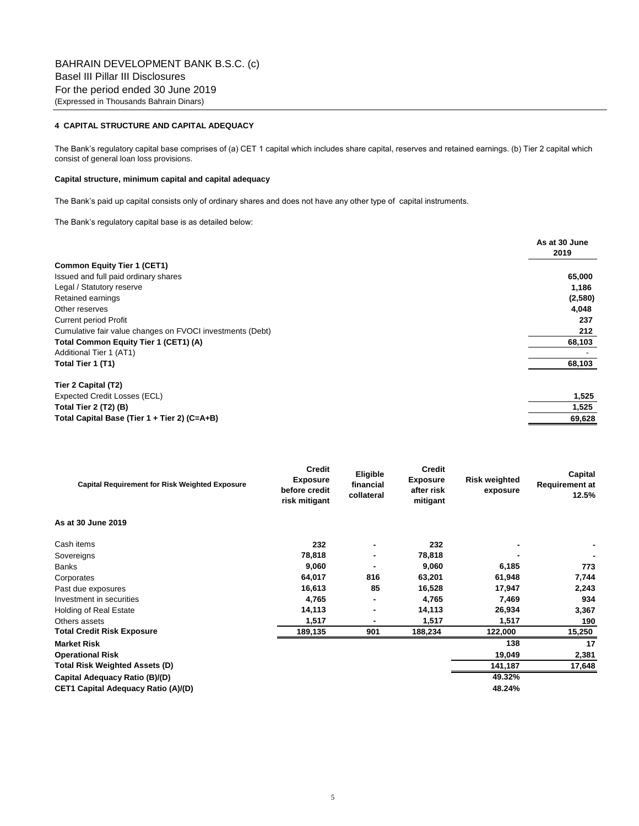# **4 CAPITAL STRUCTURE AND CAPITAL ADEQUACY**

The Bank's regulatory capital base comprises of (a) CET 1 capital which includes share capital, reserves and retained earnings. (b) Tier 2 capital which consist of general loan loss provisions.

# **Capital structure, minimum capital and capital adequacy**

The Bank's paid up capital consists only of ordinary shares and does not have any other type of capital instruments.

The Bank's regulatory capital base is as detailed below:

|                                                           | As at 30 June |
|-----------------------------------------------------------|---------------|
|                                                           | 2019          |
| <b>Common Equity Tier 1 (CET1)</b>                        |               |
| Issued and full paid ordinary shares                      | 65,000        |
| Legal / Statutory reserve                                 | 1,186         |
| Retained earnings                                         | (2,580)       |
| Other reserves                                            | 4,048         |
| <b>Current period Profit</b>                              | 237           |
| Cumulative fair value changes on FVOCI investments (Debt) | 212           |
| Total Common Equity Tier 1 (CET1) (A)                     | 68,103        |
| Additional Tier 1 (AT1)                                   |               |
| Total Tier 1 (T1)                                         | 68,103        |
| Tier 2 Capital (T2)                                       |               |
| Expected Credit Losses (ECL)                              | 1,525         |
| Total Tier 2 (T2) (B)                                     | 1,525         |
| Total Capital Base (Tier 1 + Tier 2) (C=A+B)              | 69,628        |

| <b>Capital Requirement for Risk Weighted Exposure</b> | <b>Credit</b><br><b>Exposure</b><br>before credit<br>risk mitigant | Eligible<br>financial<br>collateral | Credit<br><b>Exposure</b><br>after risk<br>mitigant | <b>Risk weighted</b><br>exposure | Capital<br><b>Requirement at</b><br>12.5% |
|-------------------------------------------------------|--------------------------------------------------------------------|-------------------------------------|-----------------------------------------------------|----------------------------------|-------------------------------------------|
| As at 30 June 2019                                    |                                                                    |                                     |                                                     |                                  |                                           |
| Cash items                                            | 232                                                                |                                     | 232                                                 |                                  |                                           |
| Sovereigns                                            | 78,818                                                             | $\blacksquare$                      | 78,818                                              |                                  |                                           |
| Banks                                                 | 9,060                                                              |                                     | 9,060                                               | 6,185                            | 773                                       |
| Corporates                                            | 64,017                                                             | 816                                 | 63,201                                              | 61,948                           | 7,744                                     |
| Past due exposures                                    | 16,613                                                             | 85                                  | 16,528                                              | 17,947                           | 2,243                                     |
| Investment in securities                              | 4,765                                                              | $\blacksquare$                      | 4,765                                               | 7,469                            | 934                                       |
| <b>Holding of Real Estate</b>                         | 14,113                                                             | ٠.                                  | 14,113                                              | 26,934                           | 3,367                                     |
| Others assets                                         | 1,517                                                              | $\blacksquare$                      | 1,517                                               | 1,517                            | 190                                       |
| <b>Total Credit Risk Exposure</b>                     | 189,135                                                            | 901                                 | 188,234                                             | 122,000                          | 15,250                                    |
| <b>Market Risk</b>                                    |                                                                    |                                     |                                                     | 138                              | 17                                        |
| <b>Operational Risk</b>                               |                                                                    |                                     |                                                     | 19,049                           | 2,381                                     |
| <b>Total Risk Weighted Assets (D)</b>                 |                                                                    |                                     |                                                     | 141,187                          | 17,648                                    |
| Capital Adequacy Ratio (B)/(D)                        |                                                                    |                                     |                                                     | 49.32%                           |                                           |
| <b>CET1 Capital Adequacy Ratio (A)/(D)</b>            |                                                                    |                                     |                                                     | 48.24%                           |                                           |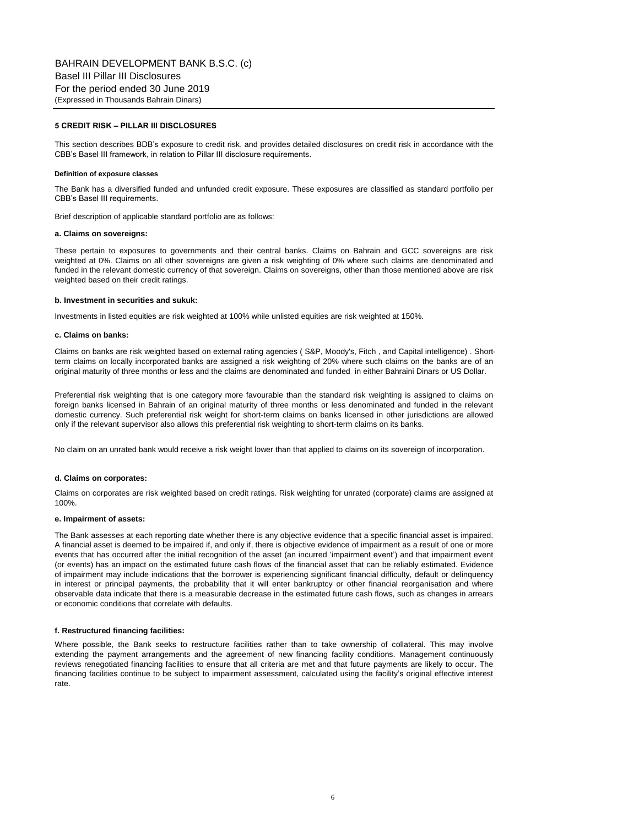# **5 CREDIT RISK – PILLAR III DISCLOSURES**

This section describes BDB's exposure to credit risk, and provides detailed disclosures on credit risk in accordance with the CBB's Basel III framework, in relation to Pillar III disclosure requirements.

#### **Definition of exposure classes**

The Bank has a diversified funded and unfunded credit exposure. These exposures are classified as standard portfolio per CBB's Basel III requirements.

Brief description of applicable standard portfolio are as follows:

### **a. Claims on sovereigns:**

These pertain to exposures to governments and their central banks. Claims on Bahrain and GCC sovereigns are risk weighted at 0%. Claims on all other sovereigns are given a risk weighting of 0% where such claims are denominated and funded in the relevant domestic currency of that sovereign. Claims on sovereigns, other than those mentioned above are risk weighted based on their credit ratings.

#### **b. Investment in securities and sukuk:**

Investments in listed equities are risk weighted at 100% while unlisted equities are risk weighted at 150%.

#### **c. Claims on banks:**

Claims on banks are risk weighted based on external rating agencies ( S&P, Moody's, Fitch , and Capital intelligence) . Shortterm claims on locally incorporated banks are assigned a risk weighting of 20% where such claims on the banks are of an original maturity of three months or less and the claims are denominated and funded in either Bahraini Dinars or US Dollar.

Preferential risk weighting that is one category more favourable than the standard risk weighting is assigned to claims on foreign banks licensed in Bahrain of an original maturity of three months or less denominated and funded in the relevant domestic currency. Such preferential risk weight for short-term claims on banks licensed in other jurisdictions are allowed only if the relevant supervisor also allows this preferential risk weighting to short-term claims on its banks.

No claim on an unrated bank would receive a risk weight lower than that applied to claims on its sovereign of incorporation.

#### **d. Claims on corporates:**

Claims on corporates are risk weighted based on credit ratings. Risk weighting for unrated (corporate) claims are assigned at 100%.

#### **e. Impairment of assets:**

The Bank assesses at each reporting date whether there is any objective evidence that a specific financial asset is impaired. A financial asset is deemed to be impaired if, and only if, there is objective evidence of impairment as a result of one or more events that has occurred after the initial recognition of the asset (an incurred 'impairment event') and that impairment event (or events) has an impact on the estimated future cash flows of the financial asset that can be reliably estimated. Evidence of impairment may include indications that the borrower is experiencing significant financial difficulty, default or delinquency in interest or principal payments, the probability that it will enter bankruptcy or other financial reorganisation and where observable data indicate that there is a measurable decrease in the estimated future cash flows, such as changes in arrears or economic conditions that correlate with defaults.

#### **f. Restructured financing facilities:**

Where possible, the Bank seeks to restructure facilities rather than to take ownership of collateral. This may involve extending the payment arrangements and the agreement of new financing facility conditions. Management continuously reviews renegotiated financing facilities to ensure that all criteria are met and that future payments are likely to occur. The financing facilities continue to be subject to impairment assessment, calculated using the facility's original effective interest rate.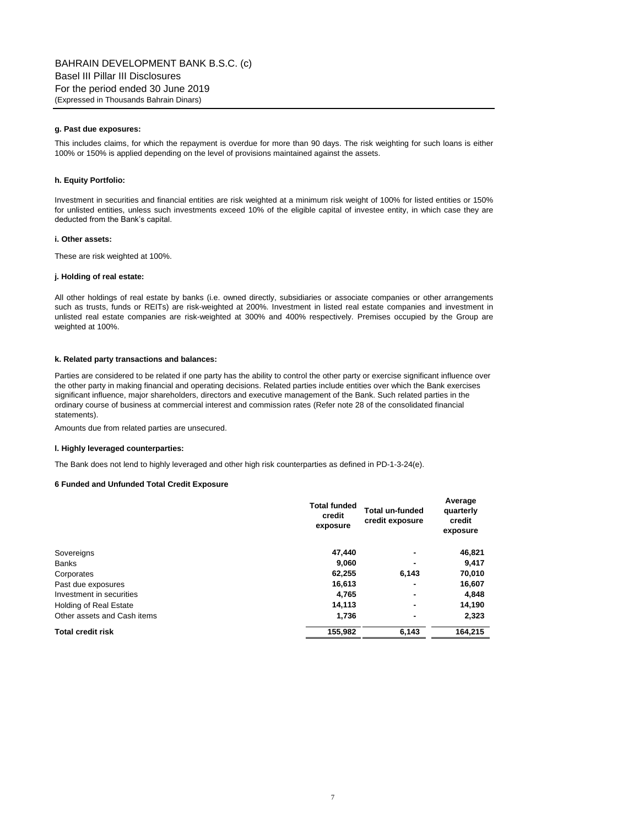## **g. Past due exposures:**

This includes claims, for which the repayment is overdue for more than 90 days. The risk weighting for such loans is either 100% or 150% is applied depending on the level of provisions maintained against the assets.

### **h. Equity Portfolio:**

Investment in securities and financial entities are risk weighted at a minimum risk weight of 100% for listed entities or 150% for unlisted entities, unless such investments exceed 10% of the eligible capital of investee entity, in which case they are deducted from the Bank's capital.

# **i. Other assets:**

These are risk weighted at 100%.

#### **j. Holding of real estate:**

All other holdings of real estate by banks (i.e. owned directly, subsidiaries or associate companies or other arrangements such as trusts, funds or REITs) are risk-weighted at 200%. Investment in listed real estate companies and investment in unlisted real estate companies are risk-weighted at 300% and 400% respectively. Premises occupied by the Group are weighted at 100%.

## **k. Related party transactions and balances:**

Parties are considered to be related if one party has the ability to control the other party or exercise significant influence over the other party in making financial and operating decisions. Related parties include entities over which the Bank exercises significant influence, major shareholders, directors and executive management of the Bank. Such related parties in the ordinary course of business at commercial interest and commission rates (Refer note 28 of the consolidated financial statements).

Amounts due from related parties are unsecured.

### **l. Highly leveraged counterparties:**

The Bank does not lend to highly leveraged and other high risk counterparties as defined in PD-1-3-24(e).

#### **6 Funded and Unfunded Total Credit Exposure**

|                             | <b>Total funded</b><br>credit<br>exposure | Total un-funded<br>credit exposure | Average<br>quarterly<br>credit<br>exposure |
|-----------------------------|-------------------------------------------|------------------------------------|--------------------------------------------|
| Sovereigns                  | 47.440                                    | -                                  | 46,821                                     |
| <b>Banks</b>                | 9,060                                     | $\blacksquare$                     | 9,417                                      |
| Corporates                  | 62,255                                    | 6,143                              | 70,010                                     |
| Past due exposures          | 16,613                                    | $\blacksquare$                     | 16,607                                     |
| Investment in securities    | 4.765                                     | ۰                                  | 4,848                                      |
| Holding of Real Estate      | 14,113                                    | ۰                                  | 14,190                                     |
| Other assets and Cash items | 1,736                                     | $\blacksquare$                     | 2,323                                      |
| <b>Total credit risk</b>    | 155.982                                   | 6.143                              | 164.215                                    |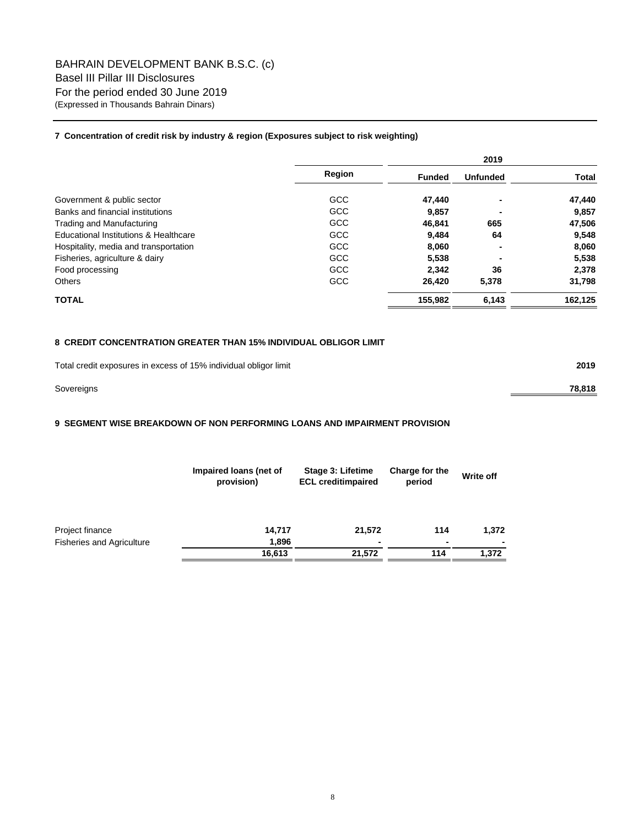# **7 Concentration of credit risk by industry & region (Exposures subject to risk weighting)**

|                                       |            | 2019          |                 |              |  |
|---------------------------------------|------------|---------------|-----------------|--------------|--|
|                                       | Region     | <b>Funded</b> | <b>Unfunded</b> | <b>Total</b> |  |
| Government & public sector            | <b>GCC</b> | 47,440        | ٠               | 47,440       |  |
| Banks and financial institutions      | <b>GCC</b> | 9,857         |                 | 9,857        |  |
| <b>Trading and Manufacturing</b>      | <b>GCC</b> | 46.841        | 665             | 47,506       |  |
| Educational Institutions & Healthcare | <b>GCC</b> | 9.484         | 64              | 9,548        |  |
| Hospitality, media and transportation | <b>GCC</b> | 8,060         | ٠               | 8,060        |  |
| Fisheries, agriculture & dairy        | <b>GCC</b> | 5,538         |                 | 5,538        |  |
| Food processing                       | <b>GCC</b> | 2.342         | 36              | 2,378        |  |
| Others                                | <b>GCC</b> | 26,420        | 5,378           | 31,798       |  |
| <b>TOTAL</b>                          |            | 155,982       | 6,143           | 162,125      |  |

# **8 CREDIT CONCENTRATION GREATER THAN 15% INDIVIDUAL OBLIGOR LIMIT**

| Total credit exposures in excess of 15% individual obligor limit | 2019   |
|------------------------------------------------------------------|--------|
| Sovereigns                                                       | 78.818 |

# **9 SEGMENT WISE BREAKDOWN OF NON PERFORMING LOANS AND IMPAIRMENT PROVISION**

|                                  | Impaired loans (net of<br>provision) | Stage 3: Lifetime<br><b>ECL creditimpaired</b> | Charge for the<br>period |       |
|----------------------------------|--------------------------------------|------------------------------------------------|--------------------------|-------|
| Project finance                  | 14,717                               | 21,572                                         | 114                      | 1,372 |
| <b>Fisheries and Agriculture</b> | 1,896                                | ۰                                              | $\blacksquare$           |       |
|                                  | 16,613                               | 21.572                                         | 114                      | 1.372 |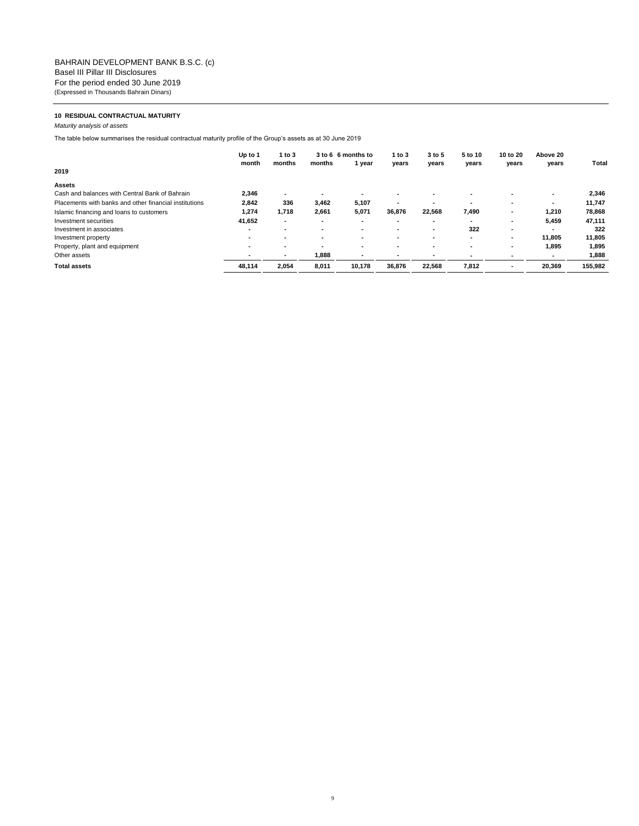# **10 RESIDUAL CONTRACTUAL MATURITY**

*Maturity analysis of assets*

The table below summarises the residual contractual maturity profile of the Group's assets as at 30 June 2019

|                                                        | Up to 1<br>month         | 1 to 3<br>months         | months | 3 to 6 6 months to<br>1 year | 1 to 3<br>years          | 3 to 5<br>years | 5 to 10<br>years | 10 to 20<br>years | Above 20<br>years | Total   |
|--------------------------------------------------------|--------------------------|--------------------------|--------|------------------------------|--------------------------|-----------------|------------------|-------------------|-------------------|---------|
| 2019                                                   |                          |                          |        |                              |                          |                 |                  |                   |                   |         |
| Assets                                                 |                          |                          |        |                              |                          |                 |                  |                   |                   |         |
| Cash and balances with Central Bank of Bahrain         | 2.346                    |                          |        |                              |                          |                 |                  |                   |                   | 2,346   |
| Placements with banks and other financial institutions | 2,842                    | 336                      | 3.462  | 5,107                        | $\overline{\phantom{a}}$ |                 |                  |                   |                   | 11,747  |
| Islamic financing and loans to customers               | 1,274                    | 1,718                    | 2,661  | 5,071                        | 36,876                   | 22,568          | 7,490            |                   | 1,210             | 78,868  |
| Investment securities                                  | 41.652                   | $\overline{\phantom{a}}$ | ۰      | $\overline{\phantom{a}}$     | ۰                        |                 | ۰                |                   | 5.459             | 47,111  |
| Investment in associates                               |                          |                          |        |                              | -                        |                 | 322              |                   |                   | 322     |
| Investment property                                    | $\overline{\phantom{a}}$ |                          | -      |                              | $\overline{\phantom{a}}$ |                 | ۰.               |                   | 11,805            | 11,805  |
| Property, plant and equipment                          | -                        | -                        |        |                              | ۰                        |                 |                  |                   | 1.895             | 1,895   |
| Other assets                                           |                          |                          | 1,888  |                              |                          |                 |                  |                   |                   | 1.888   |
| <b>Total assets</b>                                    | 48,114                   | 2,054                    | 8,011  | 10.178                       | 36,876                   | 22.568          | 7,812            |                   | 20,369            | 155,982 |
|                                                        |                          |                          |        |                              |                          |                 |                  |                   |                   |         |

9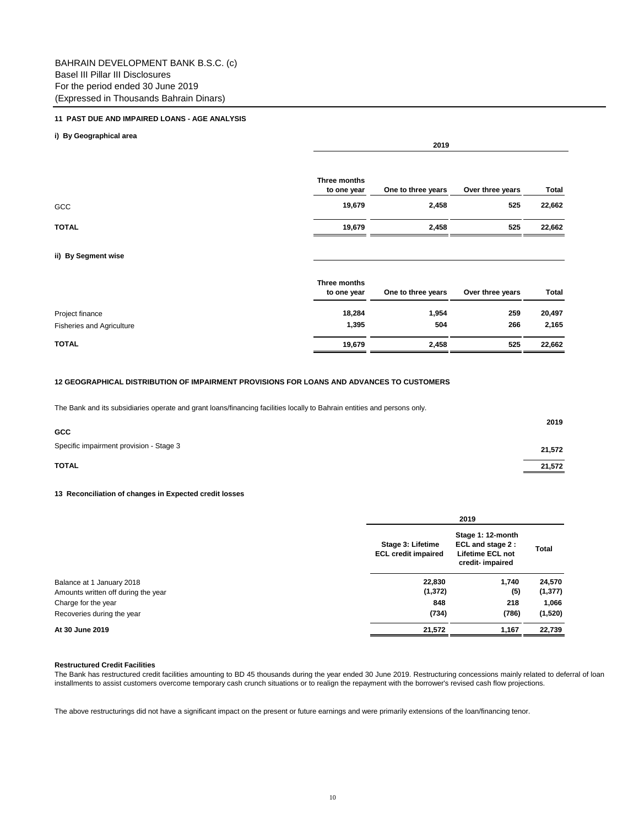# **11 PAST DUE AND IMPAIRED LOANS - AGE ANALYSIS**

# **i) By Geographical area**

|              | Three months<br>to one year | One to three years | Over three years | Total  |
|--------------|-----------------------------|--------------------|------------------|--------|
| GCC          | 19,679                      | 2,458              | 525              | 22,662 |
| <b>TOTAL</b> | 19,679                      | 2,458              | 525              | 22,662 |

**2019**

# **ii) By Segment wise**

|                                  | Three months<br>to one year | One to three years | Over three years | Total  |
|----------------------------------|-----------------------------|--------------------|------------------|--------|
| Project finance                  | 18,284                      | 1,954              | 259              | 20,497 |
| <b>Fisheries and Agriculture</b> | 1,395                       | 504                | 266              | 2,165  |
| <b>TOTAL</b>                     | 19,679                      | 2,458              | 525              | 22,662 |

# **12 GEOGRAPHICAL DISTRIBUTION OF IMPAIRMENT PROVISIONS FOR LOANS AND ADVANCES TO CUSTOMERS**

The Bank and its subsidiaries operate and grant loans/financing facilities locally to Bahrain entities and persons only.

| <b>GCC</b>                              | 2019                |
|-----------------------------------------|---------------------|
| Specific impairment provision - Stage 3 | 21,572              |
| <b>TOTAL</b>                            | 21,572<br>_________ |

# **13 Reconciliation of changes in Expected credit losses**

|                                     |                                                 | 2019                                                                                 |          |
|-------------------------------------|-------------------------------------------------|--------------------------------------------------------------------------------------|----------|
|                                     | Stage 3: Lifetime<br><b>ECL credit impaired</b> | Stage 1: 12-month<br>ECL and stage 2 :<br><b>Lifetime ECL not</b><br>credit-impaired | Total    |
| Balance at 1 January 2018           | 22,830                                          | 1,740                                                                                | 24,570   |
| Amounts written off during the year | (1, 372)                                        | (5)                                                                                  | (1, 377) |
|                                     | 848                                             | 218                                                                                  | 1,066    |
|                                     | (734)                                           | (786)                                                                                | (1,520)  |
|                                     | 21,572                                          | 1,167                                                                                | 22,739   |

# **Restructured Credit Facilities**

The Bank has restructured credit facilities amounting to BD 45 thousands during the year ended 30 June 2019. Restructuring concessions mainly related to deferral of loan installments to assist customers overcome temporary cash crunch situations or to realign the repayment with the borrower's revised cash flow projections.

The above restructurings did not have a significant impact on the present or future earnings and were primarily extensions of the loan/financing tenor.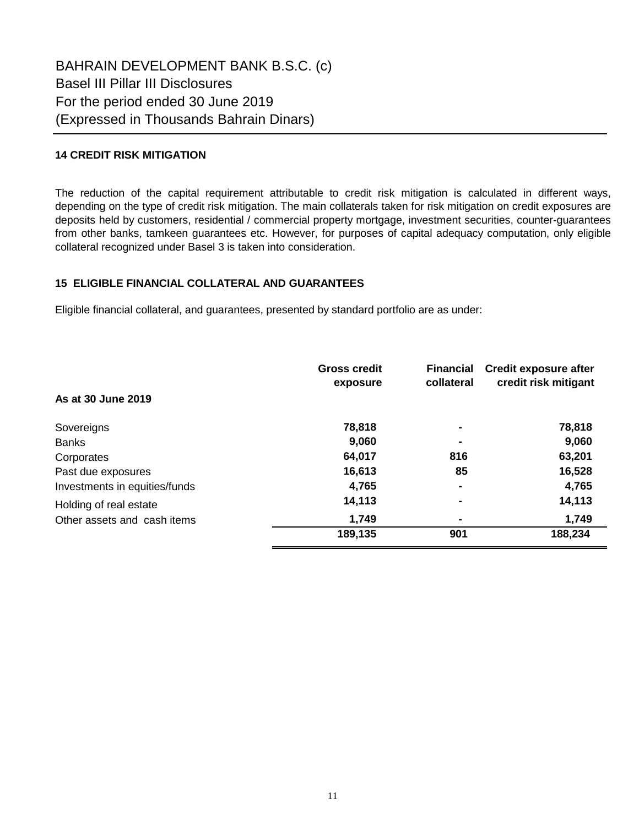# **14 CREDIT RISK MITIGATION**

The reduction of the capital requirement attributable to credit risk mitigation is calculated in different ways, depending on the type of credit risk mitigation. The main collaterals taken for risk mitigation on credit exposures are deposits held by customers, residential / commercial property mortgage, investment securities, counter-guarantees from other banks, tamkeen guarantees etc. However, for purposes of capital adequacy computation, only eligible collateral recognized under Basel 3 is taken into consideration.

# **15 ELIGIBLE FINANCIAL COLLATERAL AND GUARANTEES**

Eligible financial collateral, and guarantees, presented by standard portfolio are as under:

|                               | <b>Gross credit</b><br>exposure | <b>Financial</b><br>collateral | <b>Credit exposure after</b><br>credit risk mitigant |
|-------------------------------|---------------------------------|--------------------------------|------------------------------------------------------|
| As at 30 June 2019            |                                 |                                |                                                      |
| Sovereigns                    | 78,818                          | $\blacksquare$                 | 78,818                                               |
| <b>Banks</b>                  | 9,060                           |                                | 9,060                                                |
| Corporates                    | 64,017                          | 816                            | 63,201                                               |
| Past due exposures            | 16,613                          | 85                             | 16,528                                               |
| Investments in equities/funds | 4,765                           |                                | 4,765                                                |
| Holding of real estate        | 14,113                          | ۰                              | 14,113                                               |
| Other assets and cash items   | 1,749                           |                                | 1,749                                                |
|                               | 189,135                         | 901                            | 188,234                                              |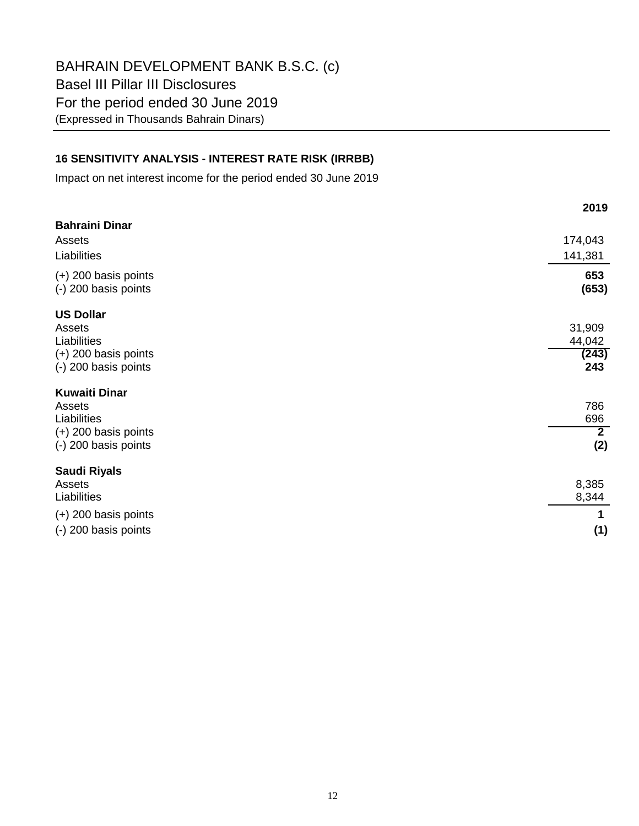BAHRAIN DEVELOPMENT BANK B.S.C. (c) Basel III Pillar III Disclosures For the period ended 30 June 2019 (Expressed in Thousands Bahrain Dinars)

# **16 SENSITIVITY ANALYSIS - INTEREST RATE RISK (IRRBB)**

Impact on net interest income for the period ended 30 June 2019

|                                                                                                 | 2019                                |
|-------------------------------------------------------------------------------------------------|-------------------------------------|
| <b>Bahraini Dinar</b><br>Assets<br>Liabilities                                                  | 174,043<br>141,381                  |
| $(+)$ 200 basis points<br>(-) 200 basis points                                                  | 653<br>(653)                        |
| <b>US Dollar</b><br>Assets<br>Liabilities<br>$(+)$ 200 basis points<br>(-) 200 basis points     | 31,909<br>44,042<br>(243)<br>243    |
| <b>Kuwaiti Dinar</b><br>Assets<br>Liabilities<br>$(+)$ 200 basis points<br>(-) 200 basis points | 786<br>696<br>$\overline{2}$<br>(2) |
| <b>Saudi Riyals</b><br>Assets<br>Liabilities<br>$(+)$ 200 basis points<br>(-) 200 basis points  | 8,385<br>8,344<br>(1)               |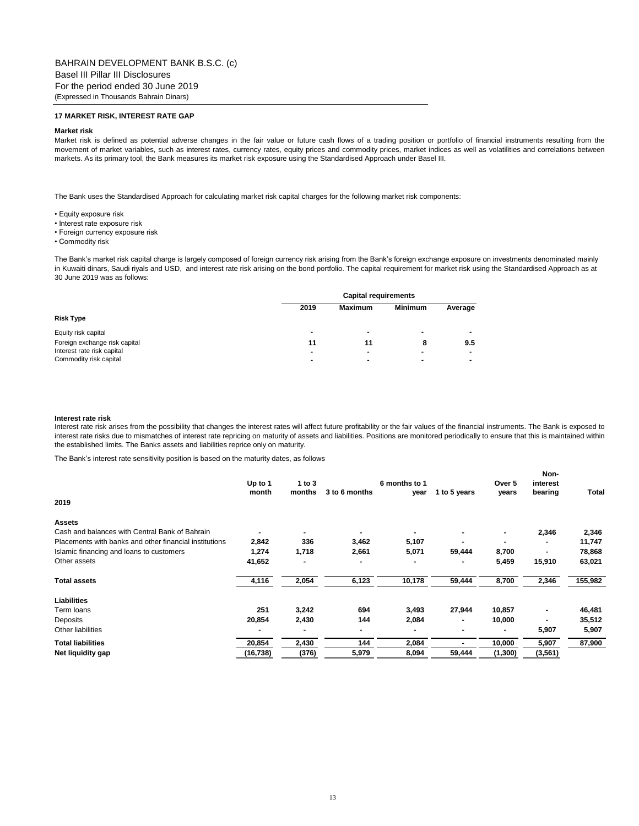# **17 MARKET RISK, INTEREST RATE GAP**

#### **Market risk**

Market risk is defined as potential adverse changes in the fair value or future cash flows of a trading position or portfolio of financial instruments resulting from the movement of market variables, such as interest rates, currency rates, equity prices and commodity prices, market indices as well as volatilities and correlations between markets. As its primary tool, the Bank measures its market risk exposure using the Standardised Approach under Basel III.

The Bank uses the Standardised Approach for calculating market risk capital charges for the following market risk components:

- Equity exposure risk
- Interest rate exposure risk
- Foreign currency exposure risk
- Commodity risk

The Bank's market risk capital charge is largely composed of foreign currency risk arising from the Bank's foreign exchange exposure on investments denominated mainly in Kuwaiti dinars, Saudi riyals and USD, and interest rate risk arising on the bond portfolio. The capital requirement for market risk using the Standardised Approach as at 30 June 2019 was as follows:

|                               |      | <b>Capital requirements</b> |                |         |  |
|-------------------------------|------|-----------------------------|----------------|---------|--|
|                               | 2019 | <b>Maximum</b>              | <b>Minimum</b> | Average |  |
| <b>Risk Type</b>              |      |                             |                |         |  |
| Equity risk capital           |      |                             | ۰              |         |  |
| Foreign exchange risk capital | 11   | 11                          | 8              | 9.5     |  |
| Interest rate risk capital    |      |                             |                |         |  |
| Commodity risk capital        |      |                             |                |         |  |

#### **Interest rate risk**

Interest rate risk arises from the possibility that changes the interest rates will affect future profitability or the fair values of the financial instruments. The Bank is exposed to interest rate risks due to mismatches of interest rate repricing on maturity of assets and liabilities. Positions are monitored periodically to ensure that this is maintained within the established limits. The Banks assets and liabilities reprice only on maturity.

The Bank's interest rate sensitivity position is based on the maturity dates, as follows

| 2019                                                   | Up to 1<br>month | 1 to 3<br>months | 3 to 6 months  | 6 months to 1<br>year | 1 to 5 years | Over 5<br>vears | Non-<br>interest<br>bearing | Total   |
|--------------------------------------------------------|------------------|------------------|----------------|-----------------------|--------------|-----------------|-----------------------------|---------|
| <b>Assets</b>                                          |                  |                  |                |                       |              |                 |                             |         |
| Cash and balances with Central Bank of Bahrain         |                  |                  | $\blacksquare$ |                       |              |                 | 2,346                       | 2,346   |
| Placements with banks and other financial institutions | 2,842            | 336              | 3,462          | 5,107                 |              |                 |                             | 11,747  |
| Islamic financing and loans to customers               | 1,274            | 1,718            | 2,661          | 5,071                 | 59,444       | 8,700           |                             | 78,868  |
| Other assets                                           | 41,652           |                  | ۰              |                       |              | 5,459           | 15,910                      | 63,021  |
| <b>Total assets</b>                                    | 4,116            | 2,054            | 6,123          | 10,178                | 59,444       | 8,700           | 2,346                       | 155,982 |
| <b>Liabilities</b>                                     |                  |                  |                |                       |              |                 |                             |         |
| Term loans                                             | 251              | 3,242            | 694            | 3,493                 | 27,944       | 10,857          |                             | 46,481  |
| <b>Deposits</b>                                        | 20,854           | 2,430            | 144            | 2,084                 |              | 10,000          |                             | 35,512  |
| Other liabilities                                      |                  |                  | ۰              |                       |              |                 | 5,907                       | 5,907   |
| <b>Total liabilities</b>                               | 20,854           | 2,430            | 144            | 2,084                 |              | 10,000          | 5,907                       | 87,900  |
| Net liquidity gap                                      | (16, 738)        | (376)            | 5,979          | 8,094                 | 59,444       | (1, 300)        | (3, 561)                    |         |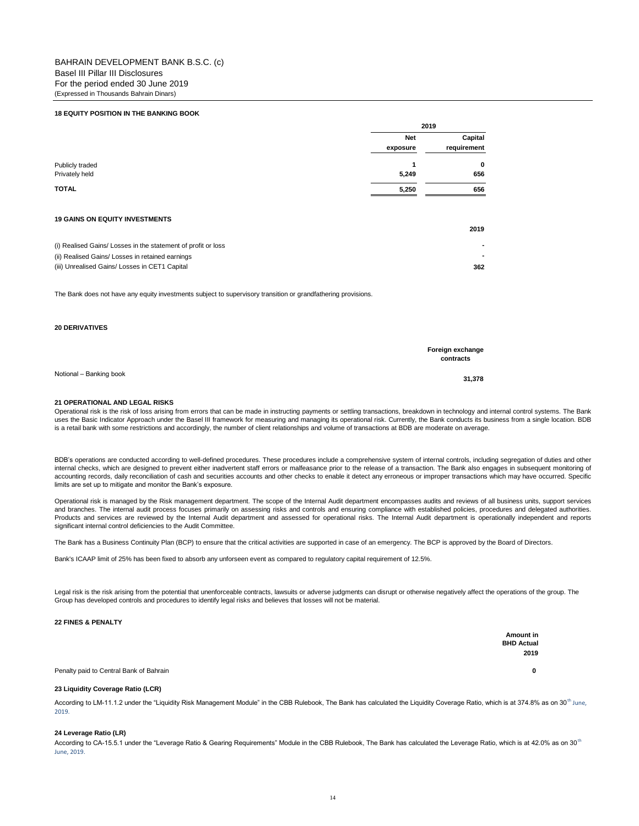#### **18 EQUITY POSITION IN THE BANKING BOOK**

|                 | 2019       |             |
|-----------------|------------|-------------|
|                 | <b>Net</b> | Capital     |
|                 | exposure   | requirement |
| Publicly traded |            | 0           |
|                 | 5,249      | 656         |
|                 | 5,250      | 656         |

#### **19 GAINS ON EQUITY INVESTMENTS**

|                                                               | 2019 |
|---------------------------------------------------------------|------|
| (i) Realised Gains/ Losses in the statement of profit or loss |      |
| (ii) Realised Gains/ Losses in retained earnings              |      |
| (iii) Unrealised Gains/ Losses in CET1 Capital                | 362  |

The Bank does not have any equity investments subject to supervisory transition or grandfathering provisions.

## **20 DERIVATIVES**

|                         | Foreign exchange<br>contracts |
|-------------------------|-------------------------------|
| Notional - Banking book | 31.378                        |

**21 OPERATIONAL AND LEGAL RISKS**

Operational risk is the risk of loss arising from errors that can be made in instructing payments or settling transactions, breakdown in technology and internal control systems. The Bank uses the Basic Indicator Approach under the Basel III framework for measuring and managing its operational risk. Currently, the Bank conducts its business from a single location. BDB is a retail bank with some restrictions and accordingly, the number of client relationships and volume of transactions at BDB are moderate on average.

BDB's operations are conducted according to well-defined procedures. These procedures include a comprehensive system of internal controls, including segregation of duties and other internal checks, which are designed to prevent either inadvertent staff errors or malfeasance prior to the release of a transaction. The Bank also engages in subsequent monitoring of accounting records, daily reconciliation of cash and securities accounts and other checks to enable it detect any erroneous or improper transactions which may have occurred. Specific limits are set up to mitigate and monitor the Bank's exposure.

Operational risk is managed by the Risk management department. The scope of the Internal Audit department encompasses audits and reviews of all business units, support services and branches. The internal audit process focuses primarily on assessing risks and controls and ensuring compliance with established policies, procedures and delegated authorities. Products and services are reviewed by the Internal Audit department and assessed for operational risks. The Internal Audit department is operationally independent and reports significant internal control deficiencies to the Audit Committee.

The Bank has a Business Continuity Plan (BCP) to ensure that the critical activities are supported in case of an emergency. The BCP is approved by the Board of Directors.

Bank's ICAAP limit of 25% has been fixed to absorb any unforseen event as compared to regulatory capital requirement of 12.5%.

Legal risk is the risk arising from the potential that unenforceable contracts, lawsuits or adverse judgments can disrupt or otherwise negatively affect the operations of the group. The Group has developed controls and procedures to identify legal risks and believes that losses will not be material.

#### **22 FINES & PENALTY**

 **Amount in BHD Actual 2019**

Penalty paid to Central Bank of Bahrain **0**

#### **23 Liquidity Coverage Ratio (LCR)**

According to LM-11.1.2 under the "Liquidity Risk Management Module" in the CBB Rulebook, The Bank has calculated the Liquidity Coverage Ratio, which is at 374.8% as on 30<sup>th</sup> June, 2019.

### **24 Leverage Ratio (LR)**

According to CA-15.5.1 under the "Leverage Ratio & Gearing Requirements" Module in the CBB Rulebook, The Bank has calculated the Leverage Ratio, which is at 42.0% as on 30<sup>th</sup> June, 2019.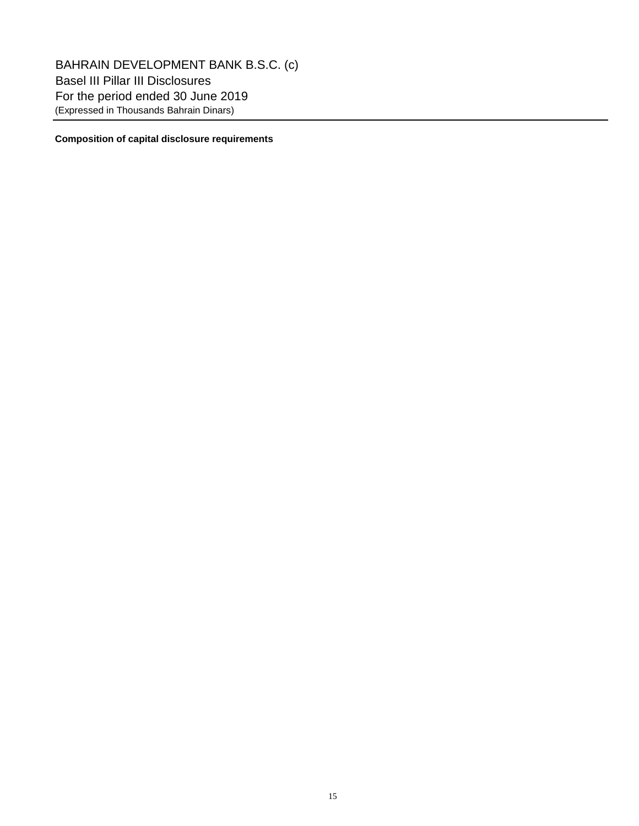BAHRAIN DEVELOPMENT BANK B.S.C. (c) Basel III Pillar III Disclosures For the period ended 30 June 2019 (Expressed in Thousands Bahrain Dinars)

# **Composition of capital disclosure requirements**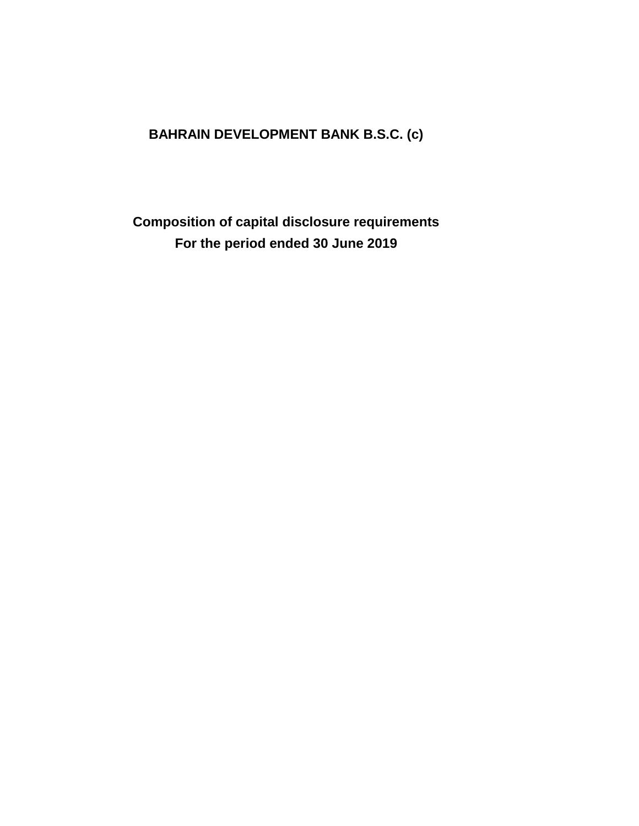# **BAHRAIN DEVELOPMENT BANK B.S.C. (c)**

**Composition of capital disclosure requirements For the period ended 30 June 2019**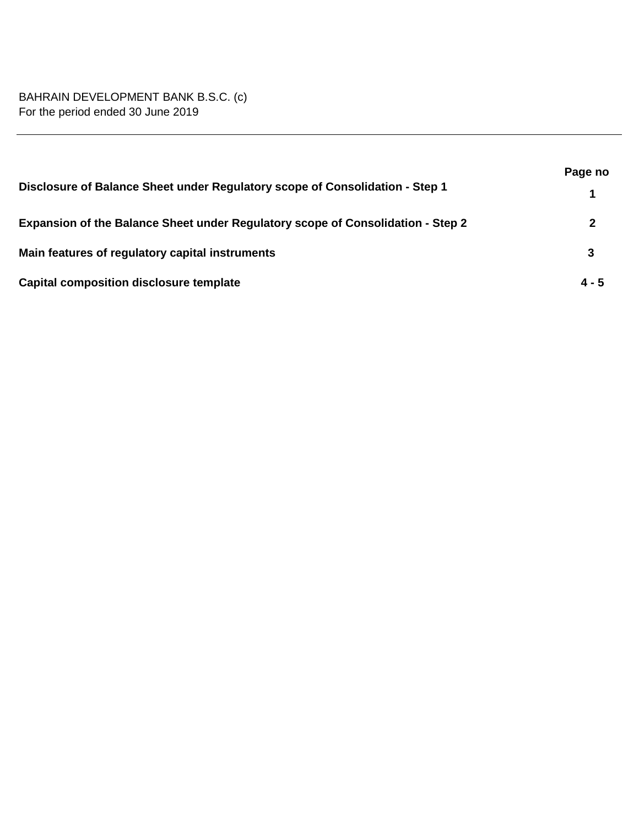# BAHRAIN DEVELOPMENT BANK B.S.C. (c) For the period ended 30 June 2019

|                                                                                 | Page no |
|---------------------------------------------------------------------------------|---------|
| Disclosure of Balance Sheet under Regulatory scope of Consolidation - Step 1    |         |
| Expansion of the Balance Sheet under Regulatory scope of Consolidation - Step 2 |         |
| Main features of regulatory capital instruments                                 | 3       |
| <b>Capital composition disclosure template</b>                                  | $4 - 5$ |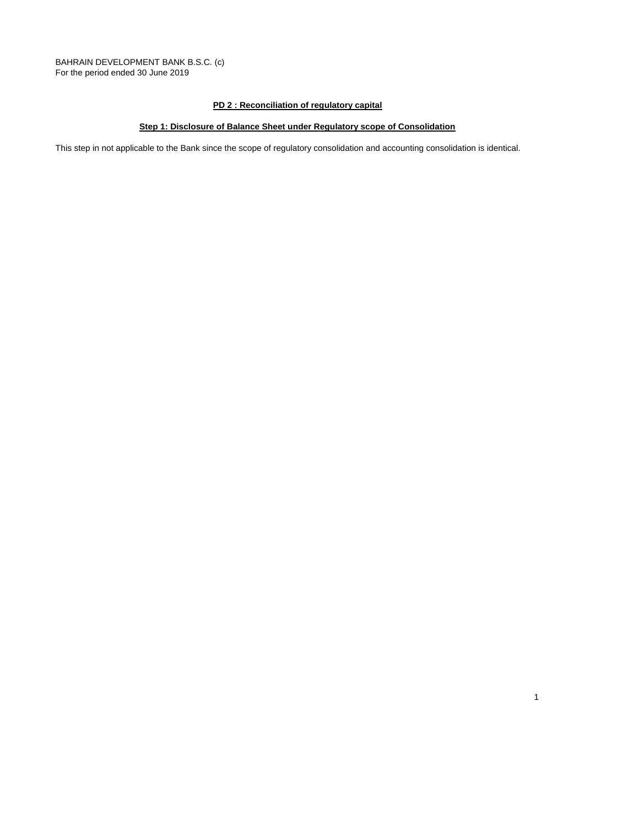BAHRAIN DEVELOPMENT BANK B.S.C. (c) For the period ended 30 June 2019

# **PD 2 : Reconciliation of regulatory capital**

# **Step 1: Disclosure of Balance Sheet under Regulatory scope of Consolidation**

This step in not applicable to the Bank since the scope of regulatory consolidation and accounting consolidation is identical.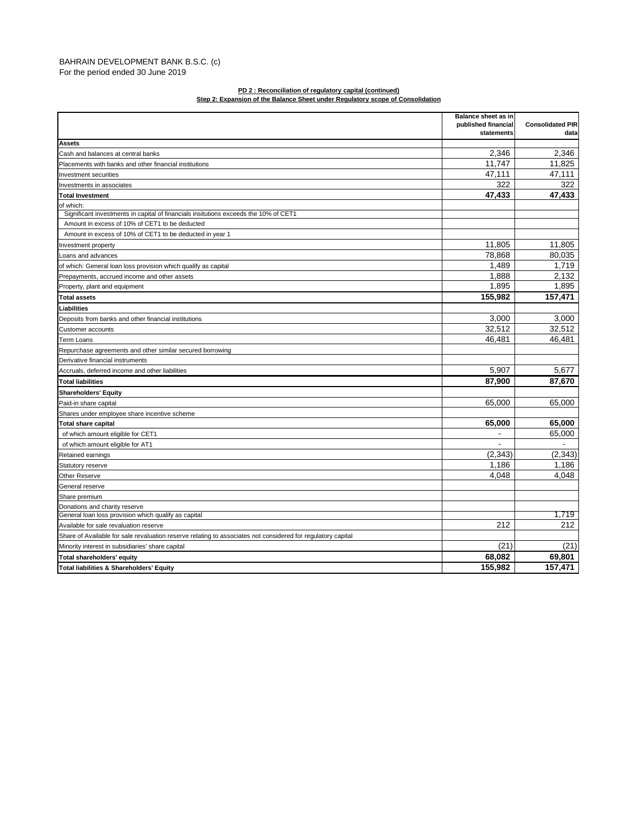# BAHRAIN DEVELOPMENT BANK B.S.C. (c) For the period ended 30 June 2019

# **PD 2 : Reconciliation of regulatory capital (continued)**

|                                                                                                              | Balance sheet as in |                          |
|--------------------------------------------------------------------------------------------------------------|---------------------|--------------------------|
|                                                                                                              | published financial | <b>Consolidated PIR</b>  |
|                                                                                                              | statements          | data                     |
| <b>Assets</b>                                                                                                |                     |                          |
| Cash and balances at central banks                                                                           | 2,346               | 2,346                    |
| Placements with banks and other financial institutions                                                       | 11.747              | 11.825                   |
| Investment securities                                                                                        | 47.111              | 47.111                   |
| Investments in associates                                                                                    | 322                 | 322                      |
| <b>Total Investment</b>                                                                                      | 47,433              | 47,433                   |
| of which:                                                                                                    |                     |                          |
| Significant investments in capital of financials insitutions exceeds the 10% of CET1                         |                     |                          |
| Amount in excess of 10% of CET1 to be deducted                                                               |                     |                          |
| Amount in excess of 10% of CET1 to be deducted in year 1                                                     |                     |                          |
| Investment property                                                                                          | 11,805              | 11,805                   |
| Loans and advances                                                                                           | 78,868              | 80,035                   |
| of which: General loan loss provision which qualify as capital                                               | 1,489               | 1,719                    |
| Prepayments, accrued income and other assets                                                                 | 1,888               | 2,132                    |
| Property, plant and equipment                                                                                | 1.895               | 1.895                    |
| <b>Total assets</b>                                                                                          | 155,982             | 157,471                  |
| Liabilities                                                                                                  |                     |                          |
| Deposits from banks and other financial institutions                                                         | 3,000               | 3,000                    |
| Customer accounts                                                                                            | 32,512              | 32,512                   |
| <b>Term Loans</b>                                                                                            | 46.481              | 46.481                   |
| Repurchase agreements and other similar secured borrowing                                                    |                     |                          |
| Derivative financial instruments                                                                             |                     |                          |
| Accruals, deferred income and other liabilities                                                              | 5,907               | 5,677                    |
| <b>Total liabilities</b>                                                                                     | 87,900              | 87,670                   |
| <b>Shareholders' Equity</b>                                                                                  |                     |                          |
| Paid-in share capital                                                                                        | 65,000              | 65,000                   |
| Shares under employee share incentive scheme                                                                 |                     |                          |
| <b>Total share capital</b>                                                                                   | 65,000              | 65,000                   |
| of which amount eligible for CET1                                                                            |                     | 65,000                   |
| of which amount eligible for AT1                                                                             |                     | $\overline{\phantom{a}}$ |
| Retained earnings                                                                                            | (2, 343)            | (2, 343)                 |
| Statutory reserve                                                                                            | 1,186               | 1.186                    |
| <b>Other Reserve</b>                                                                                         | 4.048               | 4.048                    |
| General reserve                                                                                              |                     |                          |
| Share premium                                                                                                |                     |                          |
| Donations and charity reserve                                                                                |                     |                          |
| General loan loss provision which qualify as capital                                                         |                     | 1.719                    |
| Available for sale revaluation reserve                                                                       | 212                 | 212                      |
| Share of Available for sale revaluation reserve relating to associates not considered for regulatory capital |                     |                          |
| Minority interest in subsidiaries' share capital                                                             | (21)                | (21)                     |
| Total shareholders' equity                                                                                   | 68,082              | 69,801                   |
| Total liabilities & Shareholders' Equity                                                                     | 155,982             | 157,471                  |
|                                                                                                              |                     |                          |

**Step 2: Expansion of the Balance Sheet under Regulatory scope of Consolidation**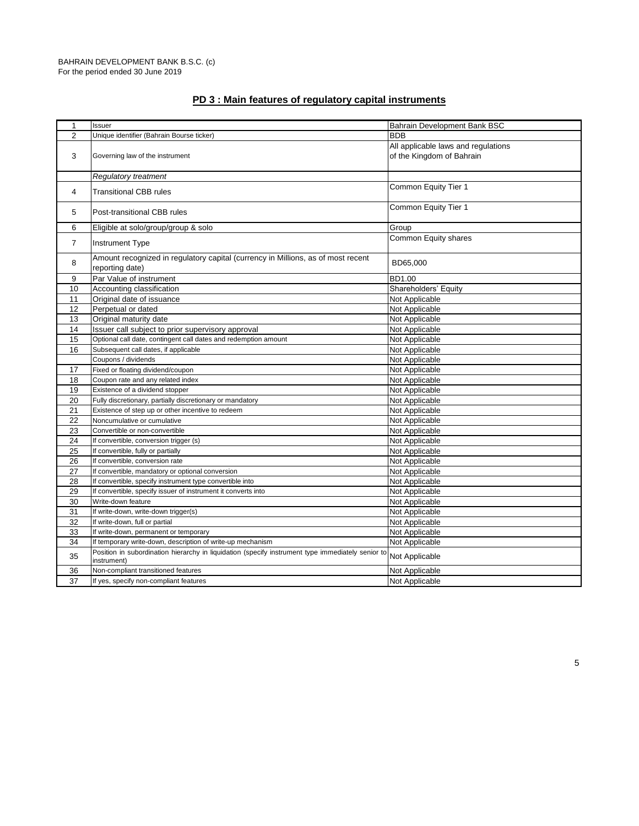| $\mathbf{1}$   | Issuer                                                                                                           | Bahrain Development Bank BSC        |
|----------------|------------------------------------------------------------------------------------------------------------------|-------------------------------------|
| $\overline{2}$ | Unique identifier (Bahrain Bourse ticker)                                                                        | <b>BDB</b>                          |
|                |                                                                                                                  | All applicable laws and regulations |
| 3              | Governing law of the instrument                                                                                  | of the Kingdom of Bahrain           |
|                |                                                                                                                  |                                     |
|                | <b>Regulatory treatment</b>                                                                                      |                                     |
| $\overline{4}$ |                                                                                                                  | Common Equity Tier 1                |
|                | <b>Transitional CBB rules</b>                                                                                    |                                     |
| 5              | Post-transitional CBB rules                                                                                      | Common Equity Tier 1                |
| 6              | Eligible at solo/group/group & solo                                                                              | Group                               |
|                |                                                                                                                  | Common Equity shares                |
| $\overline{7}$ | <b>Instrument Type</b>                                                                                           |                                     |
|                | Amount recognized in regulatory capital (currency in Millions, as of most recent                                 |                                     |
| 8              | reporting date)                                                                                                  | BD65,000                            |
| 9              | Par Value of instrument                                                                                          | BD1.00                              |
| 10             | Accounting classification                                                                                        | Shareholders' Equity                |
| 11             | Original date of issuance                                                                                        | Not Applicable                      |
| 12             | Perpetual or dated                                                                                               | Not Applicable                      |
| 13             | Original maturity date                                                                                           | Not Applicable                      |
| 14             | Issuer call subject to prior supervisory approval                                                                | Not Applicable                      |
| 15             | Optional call date, contingent call dates and redemption amount                                                  | Not Applicable                      |
| 16             | Subsequent call dates, if applicable                                                                             | Not Applicable                      |
|                | Coupons / dividends                                                                                              | Not Applicable                      |
| 17             | Fixed or floating dividend/coupon                                                                                | Not Applicable                      |
| 18             | Coupon rate and any related index                                                                                | Not Applicable                      |
| 19             | Existence of a dividend stopper                                                                                  | Not Applicable                      |
| 20             | Fully discretionary, partially discretionary or mandatory                                                        | Not Applicable                      |
| 21             | Existence of step up or other incentive to redeem                                                                | Not Applicable                      |
| 22             | Noncumulative or cumulative                                                                                      | Not Applicable                      |
| 23             | Convertible or non-convertible                                                                                   | Not Applicable                      |
| 24             | If convertible, conversion trigger (s)                                                                           | Not Applicable                      |
| 25             | If convertible, fully or partially                                                                               | Not Applicable                      |
| 26             | If convertible, conversion rate                                                                                  | Not Applicable                      |
| 27             | If convertible, mandatory or optional conversion                                                                 | Not Applicable                      |
| 28             | If convertible, specify instrument type convertible into                                                         | Not Applicable                      |
| 29             | If convertible, specify issuer of instrument it converts into                                                    | Not Applicable                      |
| 30             | Write-down feature                                                                                               | Not Applicable                      |
| 31             | If write-down, write-down trigger(s)                                                                             | Not Applicable                      |
| 32             | If write-down, full or partial                                                                                   | Not Applicable                      |
| 33             | If write-down, permanent or temporary                                                                            | Not Applicable                      |
| 34             | If temporary write-down, description of write-up mechanism                                                       | Not Applicable                      |
| 35             | Position in subordination hierarchy in liquidation (specify instrument type immediately senior to<br>instrument) | Not Applicable                      |
| 36             | Non-compliant transitioned features                                                                              | Not Applicable                      |
| 37             | If yes, specify non-compliant features                                                                           | Not Applicable                      |

# **PD 3 : Main features of regulatory capital instruments**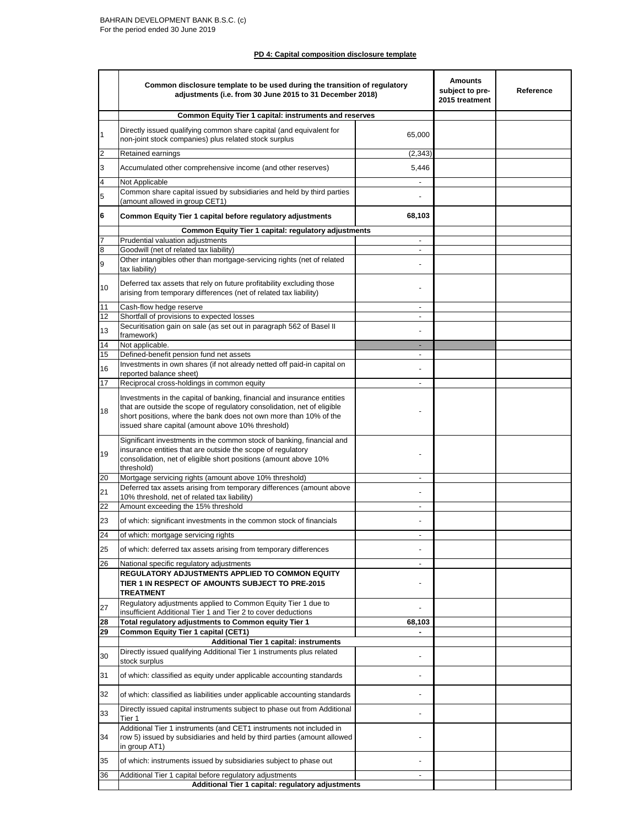# **PD 4: Capital composition disclosure template**

|                | Common disclosure template to be used during the transition of regulatory<br>adjustments (i.e. from 30 June 2015 to 31 December 2018)                                                                                                                                        |                          |  | Reference |
|----------------|------------------------------------------------------------------------------------------------------------------------------------------------------------------------------------------------------------------------------------------------------------------------------|--------------------------|--|-----------|
|                | <b>Common Equity Tier 1 capital: instruments and reserves</b>                                                                                                                                                                                                                |                          |  |           |
| $\mathbf{1}$   | Directly issued qualifying common share capital (and equivalent for<br>non-joint stock companies) plus related stock surplus                                                                                                                                                 | 65,000                   |  |           |
| $\overline{2}$ | Retained earnings                                                                                                                                                                                                                                                            | (2, 343)                 |  |           |
| 3              | Accumulated other comprehensive income (and other reserves)                                                                                                                                                                                                                  | 5,446                    |  |           |
| 4              | Not Applicable                                                                                                                                                                                                                                                               | $\blacksquare$           |  |           |
| 5              | Common share capital issued by subsidiaries and held by third parties<br>(amount allowed in group CET1)                                                                                                                                                                      |                          |  |           |
| 6              | Common Equity Tier 1 capital before regulatory adjustments                                                                                                                                                                                                                   | 68,103                   |  |           |
|                | Common Equity Tier 1 capital: regulatory adjustments                                                                                                                                                                                                                         |                          |  |           |
| 7              | Prudential valuation adjustments                                                                                                                                                                                                                                             |                          |  |           |
| 8              | Goodwill (net of related tax liability)<br>Other intangibles other than mortgage-servicing rights (net of related                                                                                                                                                            |                          |  |           |
| 9              | tax liability)                                                                                                                                                                                                                                                               |                          |  |           |
| 10             | Deferred tax assets that rely on future profitability excluding those<br>arising from temporary differences (net of related tax liability)                                                                                                                                   |                          |  |           |
| 11             | Cash-flow hedge reserve                                                                                                                                                                                                                                                      |                          |  |           |
| 12             | Shortfall of provisions to expected losses<br>Securitisation gain on sale (as set out in paragraph 562 of Basel II                                                                                                                                                           | $\overline{\phantom{a}}$ |  |           |
| 13             | framework)                                                                                                                                                                                                                                                                   |                          |  |           |
| 14<br>15       | Not applicable.<br>Defined-benefit pension fund net assets                                                                                                                                                                                                                   | ۰<br>$\sim$              |  |           |
|                | Investments in own shares (if not already netted off paid-in capital on                                                                                                                                                                                                      |                          |  |           |
| 16             | reported balance sheet)                                                                                                                                                                                                                                                      |                          |  |           |
| 17             | Reciprocal cross-holdings in common equity                                                                                                                                                                                                                                   |                          |  |           |
| 18             | Investments in the capital of banking, financial and insurance entities<br>that are outside the scope of regulatory consolidation, net of eligible<br>short positions, where the bank does not own more than 10% of the<br>issued share capital (amount above 10% threshold) |                          |  |           |
| 19             | Significant investments in the common stock of banking, financial and<br>insurance entities that are outside the scope of regulatory<br>consolidation, net of eligible short positions (amount above 10%<br>threshold)                                                       |                          |  |           |
| 20             | Mortgage servicing rights (amount above 10% threshold)                                                                                                                                                                                                                       |                          |  |           |
| 21             | Deferred tax assets arising from temporary differences (amount above                                                                                                                                                                                                         |                          |  |           |
| 22             | 10% threshold, net of related tax liability)<br>Amount exceeding the 15% threshold                                                                                                                                                                                           |                          |  |           |
|                |                                                                                                                                                                                                                                                                              |                          |  |           |
| 23<br>24       | of which: significant investments in the common stock of financials<br>of which: mortgage servicing rights                                                                                                                                                                   |                          |  |           |
|                |                                                                                                                                                                                                                                                                              |                          |  |           |
| 25             | of which: deferred tax assets arising from temporary differences                                                                                                                                                                                                             |                          |  |           |
| 26             | National specific regulatory adjustments<br><b>REGULATORY ADJUSTMENTS APPLIED TO COMMON EQUITY</b><br>TIER 1 IN RESPECT OF AMOUNTS SUBJECT TO PRE-2015                                                                                                                       | $\overline{\phantom{a}}$ |  |           |
| 27             | <b>TREATMENT</b><br>Regulatory adjustments applied to Common Equity Tier 1 due to                                                                                                                                                                                            |                          |  |           |
| 28             | insufficient Additional Tier 1 and Tier 2 to cover deductions<br>Total regulatory adjustments to Common equity Tier 1                                                                                                                                                        | 68,103                   |  |           |
| 29             | <b>Common Equity Tier 1 capital (CET1)</b>                                                                                                                                                                                                                                   |                          |  |           |
|                | <b>Additional Tier 1 capital: instruments</b>                                                                                                                                                                                                                                |                          |  |           |
| 30             | Directly issued qualifying Additional Tier 1 instruments plus related<br>stock surplus                                                                                                                                                                                       |                          |  |           |
| 31             | of which: classified as equity under applicable accounting standards                                                                                                                                                                                                         |                          |  |           |
| 32             | of which: classified as liabilities under applicable accounting standards                                                                                                                                                                                                    |                          |  |           |
| 33             | Directly issued capital instruments subject to phase out from Additional<br>Tier 1                                                                                                                                                                                           |                          |  |           |
| 34             | Additional Tier 1 instruments (and CET1 instruments not included in<br>row 5) issued by subsidiaries and held by third parties (amount allowed<br>in group AT1)                                                                                                              |                          |  |           |
| 35             | of which: instruments issued by subsidiaries subject to phase out                                                                                                                                                                                                            |                          |  |           |
| 36             | Additional Tier 1 capital before regulatory adjustments                                                                                                                                                                                                                      |                          |  |           |
|                | Additional Tier 1 capital: regulatory adjustments                                                                                                                                                                                                                            |                          |  |           |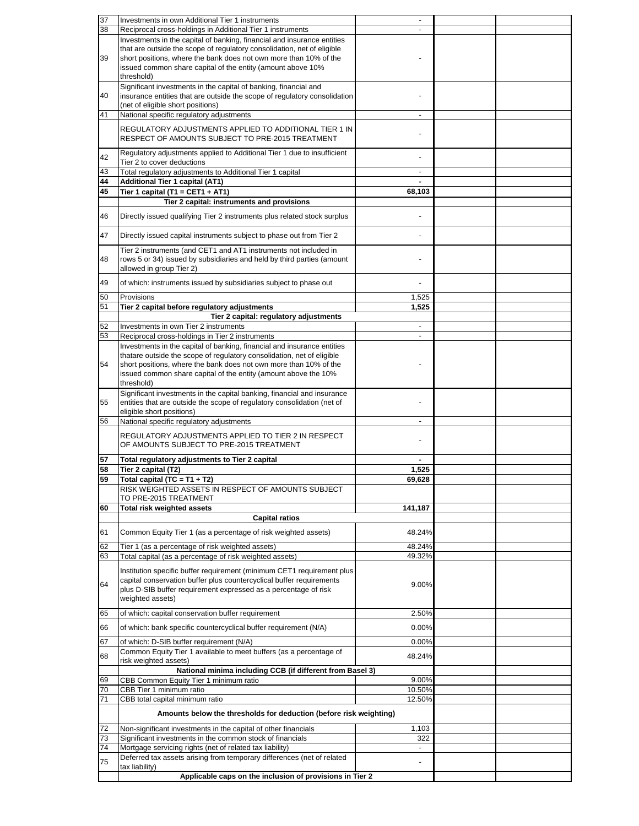| 37 | Investments in own Additional Tier 1 instruments                                                                                     |                          |  |  |  |
|----|--------------------------------------------------------------------------------------------------------------------------------------|--------------------------|--|--|--|
| 38 | Reciprocal cross-holdings in Additional Tier 1 instruments                                                                           |                          |  |  |  |
|    | Investments in the capital of banking, financial and insurance entities                                                              |                          |  |  |  |
|    | that are outside the scope of regulatory consolidation, net of eligible                                                              |                          |  |  |  |
| 39 | short positions, where the bank does not own more than 10% of the<br>issued common share capital of the entity (amount above 10%     |                          |  |  |  |
|    | threshold)                                                                                                                           |                          |  |  |  |
|    | Significant investments in the capital of banking, financial and                                                                     |                          |  |  |  |
| 40 | insurance entities that are outside the scope of regulatory consolidation                                                            |                          |  |  |  |
|    | (net of eligible short positions)                                                                                                    |                          |  |  |  |
| 41 | National specific regulatory adjustments                                                                                             |                          |  |  |  |
|    | REGULATORY ADJUSTMENTS APPLIED TO ADDITIONAL TIER 1 IN                                                                               |                          |  |  |  |
|    | RESPECT OF AMOUNTS SUBJECT TO PRE-2015 TREATMENT                                                                                     |                          |  |  |  |
|    |                                                                                                                                      |                          |  |  |  |
| 42 | Regulatory adjustments applied to Additional Tier 1 due to insufficient<br>Tier 2 to cover deductions                                |                          |  |  |  |
| 43 | Total regulatory adjustments to Additional Tier 1 capital                                                                            |                          |  |  |  |
| 44 | <b>Additional Tier 1 capital (AT1)</b>                                                                                               | $\blacksquare$           |  |  |  |
| 45 | Tier 1 capital (T1 = CET1 + AT1)                                                                                                     | 68,103                   |  |  |  |
|    | Tier 2 capital: instruments and provisions                                                                                           |                          |  |  |  |
| 46 | Directly issued qualifying Tier 2 instruments plus related stock surplus                                                             |                          |  |  |  |
|    |                                                                                                                                      |                          |  |  |  |
| 47 | Directly issued capital instruments subject to phase out from Tier 2                                                                 |                          |  |  |  |
|    |                                                                                                                                      |                          |  |  |  |
|    | Tier 2 instruments (and CET1 and AT1 instruments not included in                                                                     |                          |  |  |  |
| 48 | rows 5 or 34) issued by subsidiaries and held by third parties (amount<br>allowed in group Tier 2)                                   |                          |  |  |  |
|    |                                                                                                                                      |                          |  |  |  |
| 49 | of which: instruments issued by subsidiaries subject to phase out                                                                    |                          |  |  |  |
| 50 | Provisions                                                                                                                           | 1,525                    |  |  |  |
| 51 | Tier 2 capital before regulatory adjustments                                                                                         | 1,525                    |  |  |  |
|    | Tier 2 capital: regulatory adjustments                                                                                               |                          |  |  |  |
| 52 | Investments in own Tier 2 instruments                                                                                                | $\overline{\phantom{a}}$ |  |  |  |
| 53 | Reciprocal cross-holdings in Tier 2 instruments                                                                                      | $\sim$                   |  |  |  |
|    | Investments in the capital of banking, financial and insurance entities                                                              |                          |  |  |  |
|    | thatare outside the scope of regulatory consolidation, net of eligible                                                               |                          |  |  |  |
| 54 | short positions, where the bank does not own more than 10% of the<br>issued common share capital of the entity (amount above the 10% |                          |  |  |  |
|    | threshold)                                                                                                                           |                          |  |  |  |
|    | Significant investments in the capital banking, financial and insurance                                                              |                          |  |  |  |
| 55 | entities that are outside the scope of regulatory consolidation (net of                                                              |                          |  |  |  |
|    | eligible short positions)                                                                                                            |                          |  |  |  |
| 56 | National specific regulatory adjustments                                                                                             |                          |  |  |  |
|    | REGULATORY ADJUSTMENTS APPLIED TO TIER 2 IN RESPECT                                                                                  |                          |  |  |  |
|    | OF AMOUNTS SUBJECT TO PRE-2015 TREATMENT                                                                                             |                          |  |  |  |
|    |                                                                                                                                      |                          |  |  |  |
| 57 | Total regulatory adjustments to Tier 2 capital                                                                                       |                          |  |  |  |
| 58 | Tier 2 capital (T2)                                                                                                                  | 1,525                    |  |  |  |
| 59 | Total capital (TC = $T1 + T2$ )                                                                                                      | 69,628                   |  |  |  |
|    | RISK WEIGHTED ASSETS IN RESPECT OF AMOUNTS SUBJECT<br>TO PRE-2015 TREATMENT                                                          |                          |  |  |  |
| 60 | <b>Total risk weighted assets</b>                                                                                                    | 141,187                  |  |  |  |
|    | <b>Capital ratios</b>                                                                                                                |                          |  |  |  |
|    |                                                                                                                                      |                          |  |  |  |
| 61 | Common Equity Tier 1 (as a percentage of risk weighted assets)                                                                       | 48.24%                   |  |  |  |
| 62 | Tier 1 (as a percentage of risk weighted assets)                                                                                     | 48.24%                   |  |  |  |
| 63 | Total capital (as a percentage of risk weighted assets)                                                                              | 49.32%                   |  |  |  |
|    | Institution specific buffer requirement (minimum CET1 requirement plus                                                               |                          |  |  |  |
|    | capital conservation buffer plus countercyclical buffer requirements                                                                 |                          |  |  |  |
| 64 | plus D-SIB buffer requirement expressed as a percentage of risk                                                                      | 9.00%                    |  |  |  |
|    | weighted assets)                                                                                                                     |                          |  |  |  |
| 65 | of which: capital conservation buffer requirement                                                                                    | 2.50%                    |  |  |  |
|    |                                                                                                                                      |                          |  |  |  |
| 66 | of which: bank specific countercyclical buffer requirement (N/A)                                                                     | 0.00%                    |  |  |  |
| 67 | of which: D-SIB buffer requirement (N/A)                                                                                             | 0.00%                    |  |  |  |
| 68 | Common Equity Tier 1 available to meet buffers (as a percentage of                                                                   | 48.24%                   |  |  |  |
|    | risk weighted assets)                                                                                                                |                          |  |  |  |
|    | National minima including CCB (if different from Basel 3)                                                                            |                          |  |  |  |
| 69 | CBB Common Equity Tier 1 minimum ratio                                                                                               | 9.00%                    |  |  |  |
| 70 | CBB Tier 1 minimum ratio                                                                                                             | 10.50%                   |  |  |  |
| 71 | CBB total capital minimum ratio                                                                                                      | 12.50%                   |  |  |  |
|    | Amounts below the thresholds for deduction (before risk weighting)                                                                   |                          |  |  |  |
| 72 | Non-significant investments in the capital of other financials                                                                       | 1,103                    |  |  |  |
| 73 | Significant investments in the common stock of financials                                                                            | 322                      |  |  |  |
| 74 | Mortgage servicing rights (net of related tax liability)                                                                             |                          |  |  |  |
|    | Deferred tax assets arising from temporary differences (net of related                                                               |                          |  |  |  |
| 75 |                                                                                                                                      |                          |  |  |  |
|    | tax liability)<br>Applicable caps on the inclusion of provisions in Tier 2                                                           |                          |  |  |  |